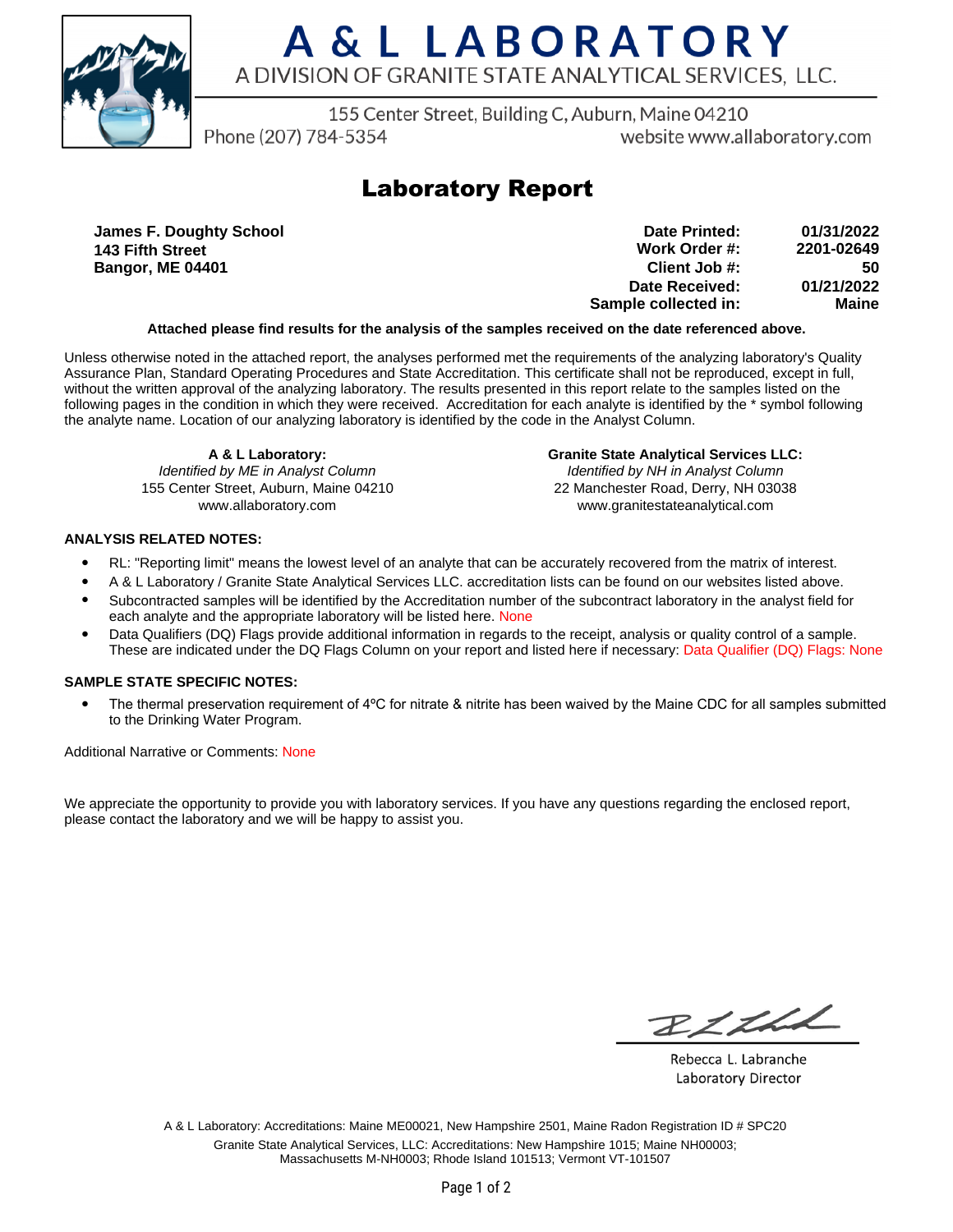

# A & L LABORATORY A DIVISION OF GRANITE STATE ANALYTICAL SERVICES. LLC.

155 Center Street, Building C, Auburn, Maine 04210

Phone (207) 784-5354

website www.allaboratory.com

## **Laboratory Report**

**James F. Doughty School 143 Fifth Street Bangor, ME 04401**

| 01/31/2022 | Date Printed:         |
|------------|-----------------------|
| 2201-02649 | Work Order #:         |
| 50         | Client Job #:         |
| 01/21/2022 | <b>Date Received:</b> |
| Maine      | Sample collected in:  |

### **Attached please find results for the analysis of the samples received on the date referenced above.**

Unless otherwise noted in the attached report, the analyses performed met the requirements of the analyzing laboratory's Quality Assurance Plan, Standard Operating Procedures and State Accreditation. This certificate shall not be reproduced, except in full, without the written approval of the analyzing laboratory. The results presented in this report relate to the samples listed on the following pages in the condition in which they were received. Accreditation for each analyte is identified by the \* symbol following the analyte name. Location of our analyzing laboratory is identified by the code in the Analyst Column.

**A & L Laboratory:** Identified by ME in Analyst Column 155 Center Street, Auburn, Maine 04210 www.allaboratory.com

**Granite State Analytical Services LLC:** Identified by NH in Analyst Column 22 Manchester Road, Derry, NH 03038 www.granitestateanalytical.com

### **ANALYSIS RELATED NOTES:**

- RL: "Reporting limit" means the lowest level of an analyte that can be accurately recovered from the matrix of interest.
- A & L Laboratory / Granite State Analytical Services LLC. accreditation lists can be found on our websites listed above.
- Subcontracted samples will be identified by the Accreditation number of the subcontract laboratory in the analyst field for each analyte and the appropriate laboratory will be listed here. None
- Data Qualifiers (DQ) Flags provide additional information in regards to the receipt, analysis or quality control of a sample. These are indicated under the DQ Flags Column on your report and listed here if necessary: Data Qualifier (DQ) Flags: None

### **SAMPLE STATE SPECIFIC NOTES:**

• The thermal preservation requirement of 4°C for nitrate & nitrite has been waived by the Maine CDC for all samples submitted to the Drinking Water Program.

Additional Narrative or Comments: None

We appreciate the opportunity to provide you with laboratory services. If you have any questions regarding the enclosed report, please contact the laboratory and we will be happy to assist you.

RICH

Rebecca L. Labranche Laboratory Director

A & L Laboratory: Accreditations: Maine ME00021, New Hampshire 2501, Maine Radon Registration ID # SPC20 Granite State Analytical Services, LLC: Accreditations: New Hampshire 1015; Maine NH00003; Massachusetts M-NH0003; Rhode Island 101513; Vermont VT-101507